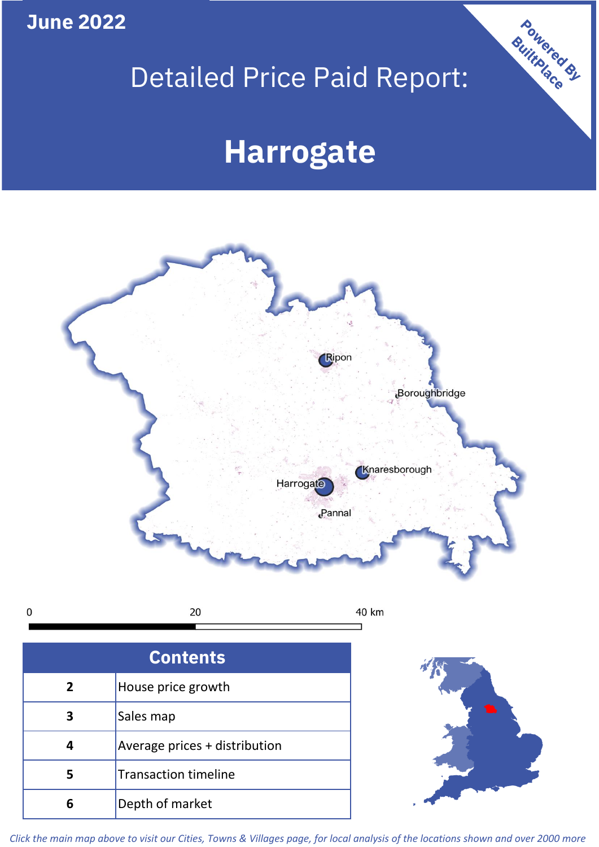**June 2022**

**5**

**4**

**3**

Sales map

**6** Depth of market

Average prices + distribution

Transaction timeline

## Detailed Price Paid Report:

Powered By

# **Harrogate**



*Click the main map above to visit our Cities, Towns & Villages page, for local analysis of the locations shown and over 2000 more*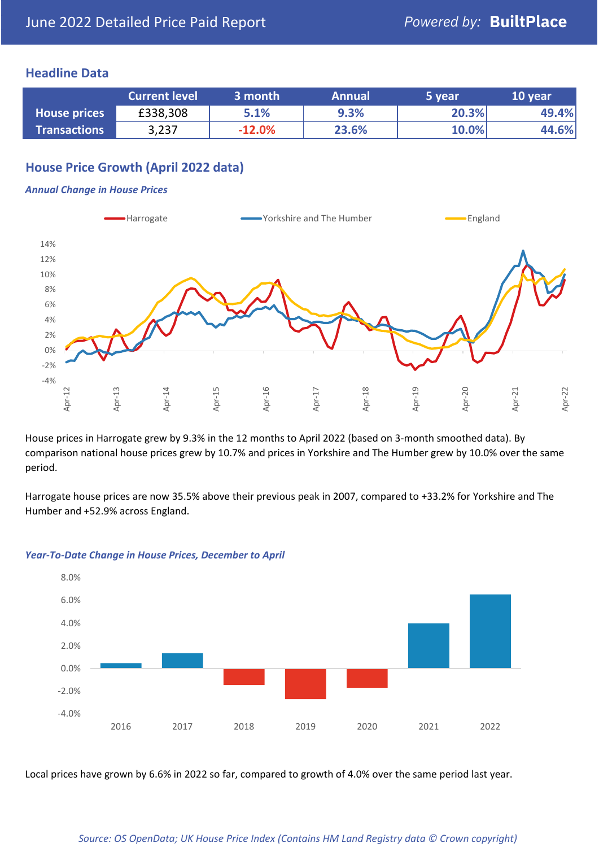### **Headline Data**

|                     | <b>Current level</b> | 3 month  | <b>Annual</b> | 5 year | 10 year |
|---------------------|----------------------|----------|---------------|--------|---------|
| <b>House prices</b> | £338,308             | 5.1%     | 9.3%          | 20.3%  | 49.4%   |
| <b>Transactions</b> | 3,237                | $-12.0%$ | 23.6%         | 10.0%  | 44.6%   |

## **House Price Growth (April 2022 data)**

#### *Annual Change in House Prices*



House prices in Harrogate grew by 9.3% in the 12 months to April 2022 (based on 3-month smoothed data). By comparison national house prices grew by 10.7% and prices in Yorkshire and The Humber grew by 10.0% over the same period.

Harrogate house prices are now 35.5% above their previous peak in 2007, compared to +33.2% for Yorkshire and The Humber and +52.9% across England.



#### *Year-To-Date Change in House Prices, December to April*

Local prices have grown by 6.6% in 2022 so far, compared to growth of 4.0% over the same period last year.

#### *Source: OS OpenData; UK House Price Index (Contains HM Land Registry data © Crown copyright)*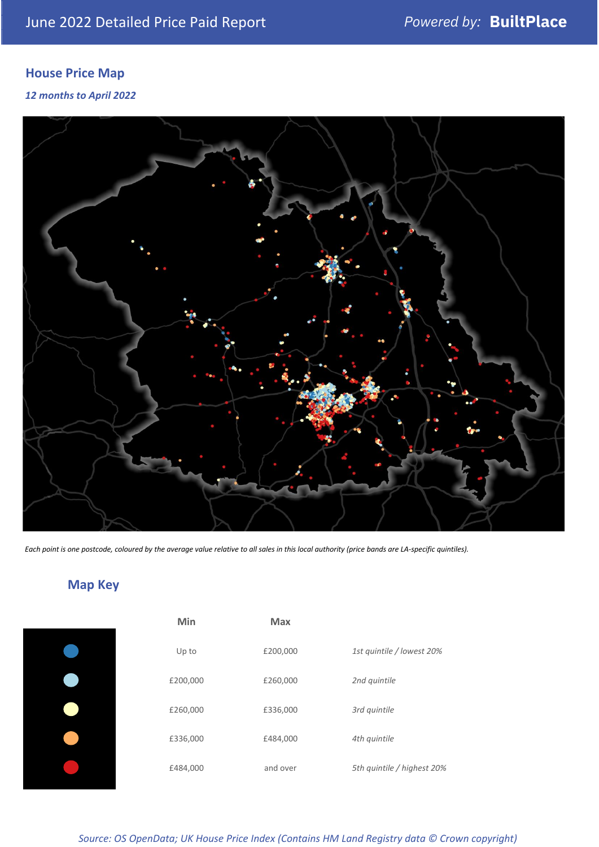## **House Price Map**

*12 months to April 2022*



*Each point is one postcode, coloured by the average value relative to all sales in this local authority (price bands are LA-specific quintiles).*

## **Map Key**

| Min      | <b>Max</b> |                            |
|----------|------------|----------------------------|
| Up to    | £200,000   | 1st quintile / lowest 20%  |
| £200,000 | £260,000   | 2nd quintile               |
| £260,000 | £336,000   | 3rd quintile               |
| £336,000 | £484,000   | 4th quintile               |
| £484,000 | and over   | 5th quintile / highest 20% |
|          |            |                            |

|   | Max      |                           |
|---|----------|---------------------------|
|   | £200,000 | 1st quintile / lowest 20% |
| C | £260,000 | 2nd quintile              |
| C | £336,000 | 3rd quintile              |
| C | £484,000 | 4th quintile              |
| C | and over | 5th quintile / highest 20 |

*Source: OS OpenData; UK House Price Index (Contains HM Land Registry data © Crown copyright)*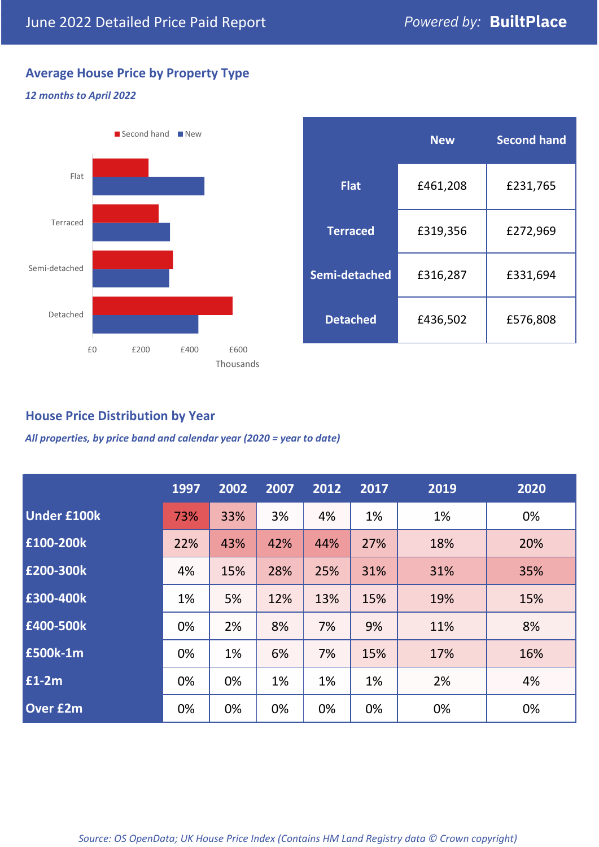## **Average House Price by Property Type**

### *12 months to April 2022*



|                 | <b>New</b> | <b>Second hand</b> |  |  |
|-----------------|------------|--------------------|--|--|
| <b>Flat</b>     | £461,208   | £231,765           |  |  |
| <b>Terraced</b> | £319,356   | £272,969           |  |  |
| Semi-detached   | £316,287   | £331,694           |  |  |
| <b>Detached</b> | £436,502   | £576,808           |  |  |

## **House Price Distribution by Year**

*All properties, by price band and calendar year (2020 = year to date)*

|                    | 1997 | 2002 | 2007 | 2012 | 2017 | 2019 | 2020 |
|--------------------|------|------|------|------|------|------|------|
| <b>Under £100k</b> | 73%  | 33%  | 3%   | 4%   | 1%   | 1%   | 0%   |
| £100-200k          | 22%  | 43%  | 42%  | 44%  | 27%  | 18%  | 20%  |
| E200-300k          | 4%   | 15%  | 28%  | 25%  | 31%  | 31%  | 35%  |
| £300-400k          | 1%   | 5%   | 12%  | 13%  | 15%  | 19%  | 15%  |
| £400-500k          | 0%   | 2%   | 8%   | 7%   | 9%   | 11%  | 8%   |
| <b>£500k-1m</b>    | 0%   | 1%   | 6%   | 7%   | 15%  | 17%  | 16%  |
| £1-2m              | 0%   | 0%   | 1%   | 1%   | 1%   | 2%   | 4%   |
| <b>Over £2m</b>    | 0%   | 0%   | 0%   | 0%   | 0%   | 0%   | 0%   |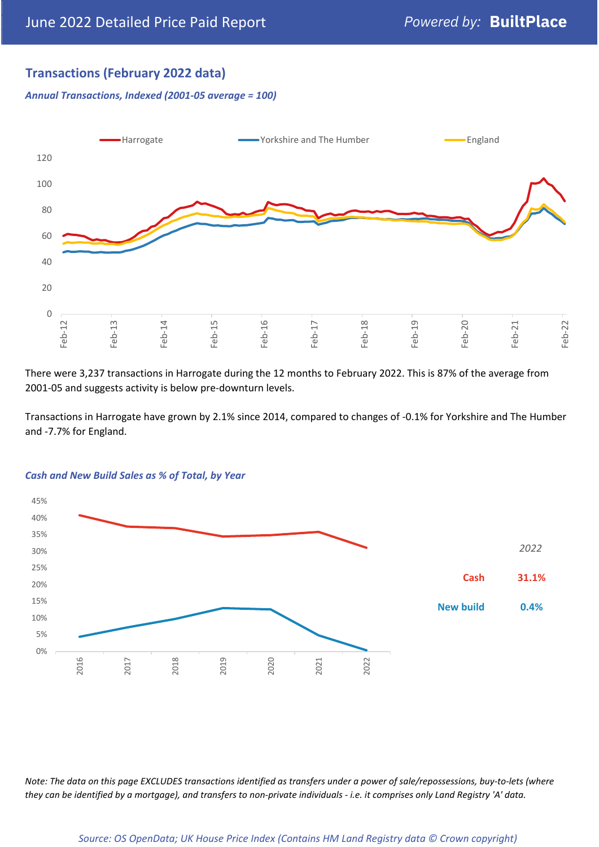## **Transactions (February 2022 data)**

*Annual Transactions, Indexed (2001-05 average = 100)*



There were 3,237 transactions in Harrogate during the 12 months to February 2022. This is 87% of the average from 2001-05 and suggests activity is below pre-downturn levels.

Transactions in Harrogate have grown by 2.1% since 2014, compared to changes of -0.1% for Yorkshire and The Humber and -7.7% for England.



#### *Cash and New Build Sales as % of Total, by Year*

*Note: The data on this page EXCLUDES transactions identified as transfers under a power of sale/repossessions, buy-to-lets (where they can be identified by a mortgage), and transfers to non-private individuals - i.e. it comprises only Land Registry 'A' data.*